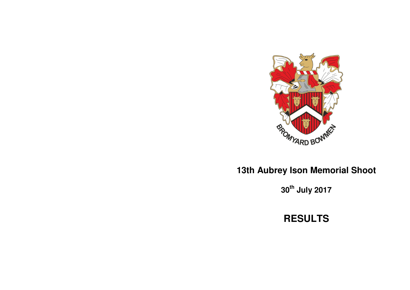

# **13th Aubrey Ison Memorial Shoot**

**30th July 2017** 

**RESULTS**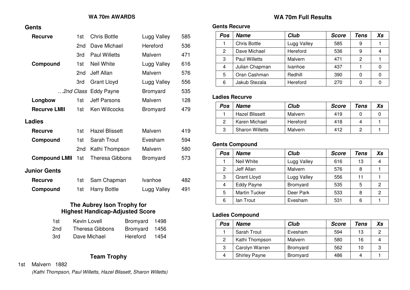## **WA 70m AWARDS**

#### **Gents**

| <b>Recurve</b>       | 1st             | <b>Chris Bottle</b>    | Lugg Valley | 585 |
|----------------------|-----------------|------------------------|-------------|-----|
|                      | 2nd             | Dave Michael           | Hereford    | 536 |
|                      | 3rd             | <b>Paul Willetts</b>   | Malvern     | 471 |
| Compound             | 1st             | <b>Neil White</b>      | Lugg Valley | 616 |
|                      | 2nd             | Jeff Allan             | Malvern     | 576 |
|                      | 3rd             | <b>Grant Lloyd</b>     | Lugg Valley | 556 |
|                      |                 | 2nd Class Eddy Payne   | Bromyard    | 535 |
| Longbow              | 1st             | <b>Jeff Parsons</b>    | Malvern     | 128 |
| <b>Recurve LMII</b>  | 1st             | <b>Ken Willcocks</b>   | Bromyard    | 479 |
| Ladies               |                 |                        |             |     |
| <b>Recurve</b>       | 1st             | <b>Hazel Blissett</b>  | Malvern     | 419 |
| Compound             | 1st             | <b>Sarah Trout</b>     | Evesham     | 594 |
|                      | 2 <sub>nd</sub> | Kathi Thompson         | Malvern     | 580 |
| <b>Compound LMII</b> | 1st             | <b>Theresa Gibbons</b> | Bromyard    | 573 |
| <b>Junior Gents</b>  |                 |                        |             |     |
| <b>Recurve</b>       | 1st             | Sam Chapman            | Ivanhoe     | 482 |
| Compound             | 1st             | <b>Harry Bottle</b>    | Lugg Valley | 491 |
|                      |                 |                        |             |     |

## **The Aubrey Ison Trophy for Highest Handicap-Adjusted Score**

| 1st. | Kevin Lovell    | Bromyard 1498 |  |
|------|-----------------|---------------|--|
| 2nd  | Theresa Gibbons | Bromyard 1456 |  |
| 3rd. | Dave Michael    | Hereford 1454 |  |

## **Team Trophy**

#### 1st Malvern 1882

*(Kathi Thompson, Paul Willetts, Hazel Blissett, Sharon Willetts)*

## **WA 70m Full Results**

## **Gents Recurve**

| Pos | <b>Name</b>          | <b>Club</b> | <b>Score</b> | Tens | Xs |
|-----|----------------------|-------------|--------------|------|----|
|     | <b>Chris Bottle</b>  | Lugg Valley | 585          | 9    |    |
| 2   | Dave Michael         | Hereford    | 536          | 9    |    |
| 3   | <b>Paul Willetts</b> | Malvern     | 471          | 2    |    |
| 4   | Julian Chapman       | Ivanhoe     | 437          |      |    |
| 5   | Oran Cashman         | Redhill     | 390          | 0    |    |
| 6   | Jakub Stezala        | Hereford    | 270          |      |    |

## **Ladies Recurve**

| Pos | Name                   | Club     | <b>Score</b> | Tens | Xs |
|-----|------------------------|----------|--------------|------|----|
|     | <b>Hazel Blissett</b>  | Malvern  | 419          |      |    |
| 2   | Karen Michael          | Hereford | 418          | 4    |    |
| 3   | <b>Sharon Willetts</b> | Malvern  | 412          |      |    |

# **Gents Compound**

| Pos | <b>Name</b>          | <b>Club</b> | <b>Score</b> | Tens | Xs             |
|-----|----------------------|-------------|--------------|------|----------------|
|     | Neil White           | Lugg Valley | 616          | 13   | 4              |
| 2   | Jeff Allan           | Malvern     | 576          | 8    |                |
| 3   | <b>Grant Lloyd</b>   | Lugg Valley | 556          | 11   |                |
| 4   | Eddy Payne           | Bromyard    | 535          | 5    | 2              |
| 5   | <b>Martin Tucker</b> | Deer Park   | 533          | 8    | $\overline{2}$ |
| 6   | lan Trout            | Evesham     | 531          | 6    |                |

# **Ladies Compound**

| Pos | Name                 | Club     | <b>Score</b> | Tens | Xs |
|-----|----------------------|----------|--------------|------|----|
|     | Sarah Trout          | Evesham  | 594          | 13   | ႒  |
| 2   | Kathi Thompson       | Malvern  | 580          | 16   |    |
| 3   | Carolyn Warren       | Bromyard | 562          | 10   | 3  |
|     | <b>Shirley Payne</b> | Bromyard | 486          | 4    |    |